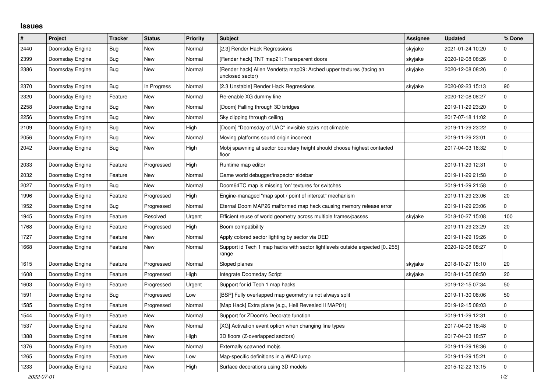## **Issues**

| $\vert$ # | Project         | <b>Tracker</b> | <b>Status</b> | <b>Priority</b> | <b>Subject</b>                                                                           | <b>Assignee</b> | <b>Updated</b>   | % Done              |
|-----------|-----------------|----------------|---------------|-----------------|------------------------------------------------------------------------------------------|-----------------|------------------|---------------------|
| 2440      | Doomsday Engine | Bug            | New           | Normal          | [2.3] Render Hack Regressions                                                            | skyjake         | 2021-01-24 10:20 | $\Omega$            |
| 2399      | Doomsday Engine | Bug            | New           | Normal          | [Render hack] TNT map21: Transparent doors                                               | skyjake         | 2020-12-08 08:26 | $\mathbf 0$         |
| 2386      | Doomsday Engine | Bug            | New           | Normal          | [Render hack] Alien Vendetta map09: Arched upper textures (facing an<br>unclosed sector) | skyjake         | 2020-12-08 08:26 | $\pmb{0}$           |
| 2370      | Doomsday Engine | <b>Bug</b>     | In Progress   | Normal          | [2.3 Unstable] Render Hack Regressions                                                   | skyjake         | 2020-02-23 15:13 | 90                  |
| 2320      | Doomsday Engine | Feature        | New           | Normal          | Re-enable XG dummy line                                                                  |                 | 2020-12-08 08:27 | $\pmb{0}$           |
| 2258      | Doomsday Engine | Bug            | New           | Normal          | [Doom] Falling through 3D bridges                                                        |                 | 2019-11-29 23:20 | $\mathbf 0$         |
| 2256      | Doomsday Engine | Bug            | New           | Normal          | Sky clipping through ceiling                                                             |                 | 2017-07-18 11:02 | $\mathsf{O}\xspace$ |
| 2109      | Doomsday Engine | Bug            | New           | High            | [Doom] "Doomsday of UAC" invisible stairs not climable                                   |                 | 2019-11-29 23:22 | $\pmb{0}$           |
| 2056      | Doomsday Engine | <b>Bug</b>     | New           | Normal          | Moving platforms sound origin incorrect                                                  |                 | 2019-11-29 23:01 | $\mathsf 0$         |
| 2042      | Doomsday Engine | Bug            | New           | High            | Mobj spawning at sector boundary height should choose highest contacted<br>floor         |                 | 2017-04-03 18:32 | $\pmb{0}$           |
| 2033      | Doomsday Engine | Feature        | Progressed    | High            | Runtime map editor                                                                       |                 | 2019-11-29 12:31 | $\pmb{0}$           |
| 2032      | Doomsday Engine | Feature        | New           | Normal          | Game world debugger/inspector sidebar                                                    |                 | 2019-11-29 21:58 | $\mathbf 0$         |
| 2027      | Doomsday Engine | Bug            | <b>New</b>    | Normal          | Doom64TC map is missing 'on' textures for switches                                       |                 | 2019-11-29 21:58 | $\mathbf{0}$        |
| 1996      | Doomsday Engine | Feature        | Progressed    | High            | Engine-managed "map spot / point of interest" mechanism                                  |                 | 2019-11-29 23:06 | 20                  |
| 1952      | Doomsday Engine | Bug            | Progressed    | Normal          | Eternal Doom MAP26 malformed map hack causing memory release error                       |                 | 2019-11-29 23:06 | 0                   |
| 1945      | Doomsday Engine | Feature        | Resolved      | Urgent          | Efficient reuse of world geometry across multiple frames/passes                          | skyjake         | 2018-10-27 15:08 | 100                 |
| 1768      | Doomsday Engine | Feature        | Progressed    | High            | Boom compatibility                                                                       |                 | 2019-11-29 23:29 | 20                  |
| 1727      | Doomsday Engine | Feature        | New           | Normal          | Apply colored sector lighting by sector via DED                                          |                 | 2019-11-29 19:26 | $\pmb{0}$           |
| 1668      | Doomsday Engine | Feature        | New           | Normal          | Support id Tech 1 map hacks with sector lightlevels outside expected [0255]<br>range     |                 | 2020-12-08 08:27 | $\mathsf{O}\xspace$ |
| 1615      | Doomsday Engine | Feature        | Progressed    | Normal          | Sloped planes                                                                            | skyjake         | 2018-10-27 15:10 | 20                  |
| 1608      | Doomsday Engine | Feature        | Progressed    | High            | Integrate Doomsday Script                                                                | skyjake         | 2018-11-05 08:50 | 20                  |
| 1603      | Doomsday Engine | Feature        | Progressed    | Urgent          | Support for id Tech 1 map hacks                                                          |                 | 2019-12-15 07:34 | 50                  |
| 1591      | Doomsday Engine | <b>Bug</b>     | Progressed    | Low             | [BSP] Fully overlapped map geometry is not always split                                  |                 | 2019-11-30 08:06 | 50                  |
| 1585      | Doomsday Engine | Feature        | Progressed    | Normal          | [Map Hack] Extra plane (e.g., Hell Revealed II MAP01)                                    |                 | 2019-12-15 08:03 | $\pmb{0}$           |
| 1544      | Doomsday Engine | Feature        | New           | Normal          | Support for ZDoom's Decorate function                                                    |                 | 2019-11-29 12:31 | $\mathbf 0$         |
| 1537      | Doomsday Engine | Feature        | New           | Normal          | [XG] Activation event option when changing line types                                    |                 | 2017-04-03 18:48 | $\mathsf{O}\xspace$ |
| 1388      | Doomsday Engine | Feature        | New           | High            | 3D floors (Z-overlapped sectors)                                                         |                 | 2017-04-03 18:57 | $\pmb{0}$           |
| 1376      | Doomsday Engine | Feature        | New           | Normal          | Externally spawned mobjs                                                                 |                 | 2019-11-29 18:36 | $\mathbf 0$         |
| 1265      | Doomsday Engine | Feature        | New           | Low             | Map-specific definitions in a WAD lump                                                   |                 | 2019-11-29 15:21 | $\pmb{0}$           |
| 1233      | Doomsday Engine | Feature        | New           | High            | Surface decorations using 3D models                                                      |                 | 2015-12-22 13:15 | $\pmb{0}$           |